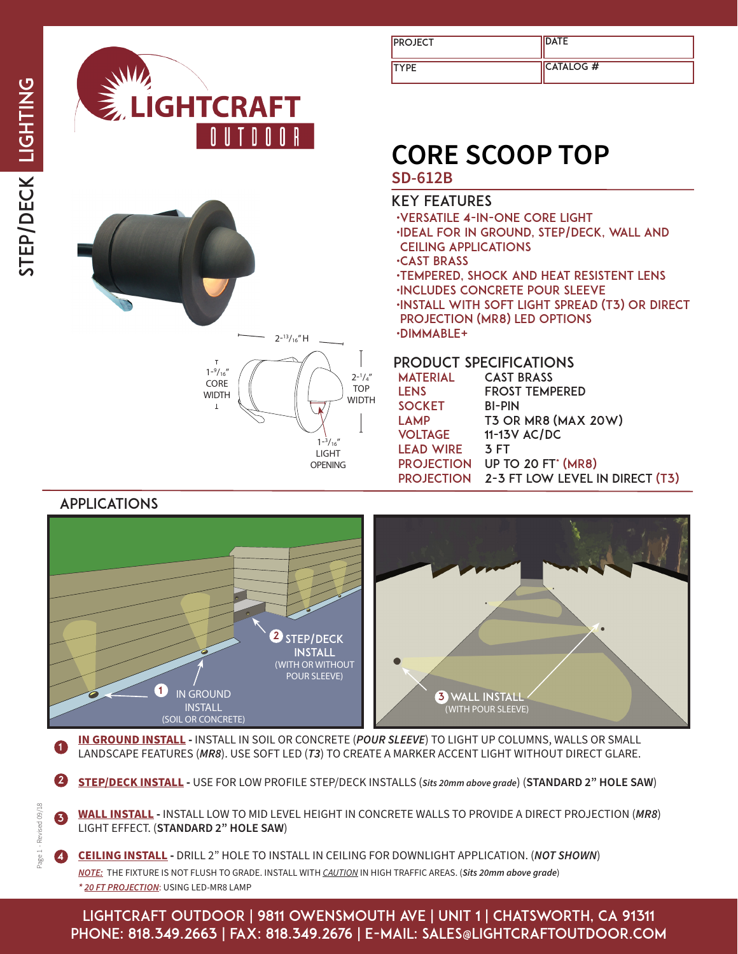

| <b>PROJECT</b> | <b>IDATE</b>      |
|----------------|-------------------|
| <b>ITYPE</b>   | <b>ICATALOG #</b> |

# **CORE SCOOP TOP**

## **SD-612B**

#### key features

•versatile 4-in-one core light •IDEAL FOR in ground, step/deck, wall and ceiling applications •CAST BRASS •tempered, shock and heat resistent lens •INCLUDES CONCRETE POUR SLEEVE •INstall with soft light spread (t3) or direct projection (mr8) led options •dimmable+

#### product specificationS

| <b>MATERIAL</b>   | <b>CAST BRASS</b>               |
|-------------------|---------------------------------|
| <b>LENS</b>       | <b>FROST TEMPERED</b>           |
| <b>SOCKET</b>     | <b>BI-PIN</b>                   |
| <b>LAMP</b>       | <b>T3 OR MR8 (MAX 20W)</b>      |
| <b>VOLTAGE</b>    | 11-13V AC/DC                    |
| <b>LEAD WIRE</b>  | <b>3 FT</b>                     |
| <b>PROJECTION</b> | <b>UP TO 20 FT' (MR8)</b>       |
| <b>PROJECTION</b> | 2-3 FT LOW LEVEL IN DIRECT (T3) |
|                   |                                 |



 $1 - \frac{3}{16}$ " LIGHT OPENING

**IN GROUND INSTALL -** INSTALL IN SOIL OR CONCRETE (*POUR SLEEVE*) TO LIGHT UP COLUMNS, WALLS OR SMALL **COMMON STATES (***MRS*). USE SOFT LED (73) TO CREATE A MARKER ACCENT LIGHT WITHOUT DIRECT GLARE.

2 **STEP/DECK INSTALL -** USE FOR LOW PROFILE STEP/DECK INSTALLS (*Sits 20mm above grade*) (**STANDARD 2" HOLE SAW**)

**WALL INSTALL -** INSTALL LOW TO MID LEVEL HEIGHT IN CONCRETE WALLS TO PROVIDE A DIRECT PROJECTION (*MR8*) LIGHT EFFECT. (**STANDARD 2" HOLE SAW**) 3

4 **CEILING INSTALL -** DRILL 2" HOLE TO INSTALL IN CEILING FOR DOWNLIGHT APPLICATION. (*NOT SHOWN*) *NOTE:*THE FIXTURE IS NOT FLUSH TO GRADE. INSTALL WITH *CAUTION* IN HIGH TRAFFIC AREAS. (*Sits 20mm above grade*) *\* 20 FT PROJECTION*: USING LED-MR8 LAMP

lightcraft outdoor | 9811 owensmouth ave | unit 1 | chatsworth, ca 91311 phone: 818.349.2663 | fax: 818.349.2676 | e-mail: sales@lightcraftoutdoor.com

Page 1 - Revised 09/18 Page 1 - Revised 09/18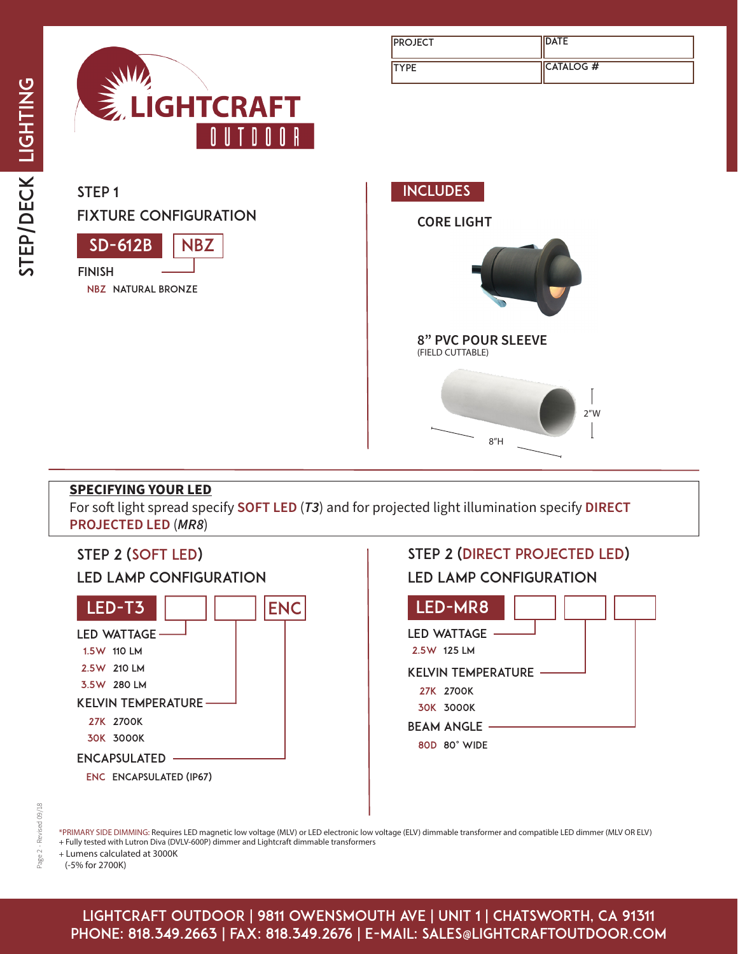

| <b>PROJECT</b> | <b>DATE</b>       |
|----------------|-------------------|
| <b>ITYPE</b>   | <b>ICATALOG #</b> |

SD-612B fixture configuration finish STEP<sub>1</sub> **NBZ** 

nbz natural bronze



### **SPECIFYING YOUR LED**

For soft light spread specify **SOFT LED** (*T3*) and for projected light illumination specify **DIRECT PROJECTED LED** (*MR8*)



\*PRIMARY SIDE DIMMING: Requires LED magnetic low voltage (MLV) or LED electronic low voltage (ELV) dimmable transformer and compatible LED dimmer (MLV OR ELV) + Fully tested with Lutron Diva (DVLV-600P) dimmer and Lightcraft dimmable transformers

+ Lumens calculated at 3000K

(-5% for 2700K)

lightcraft outdoor | 9811 owensmouth ave | unit 1 | chatsworth, ca 91311 phone: 818.349.2663 | fax: 818.349.2676 | e-mail: sales@lightcraftoutdoor.com